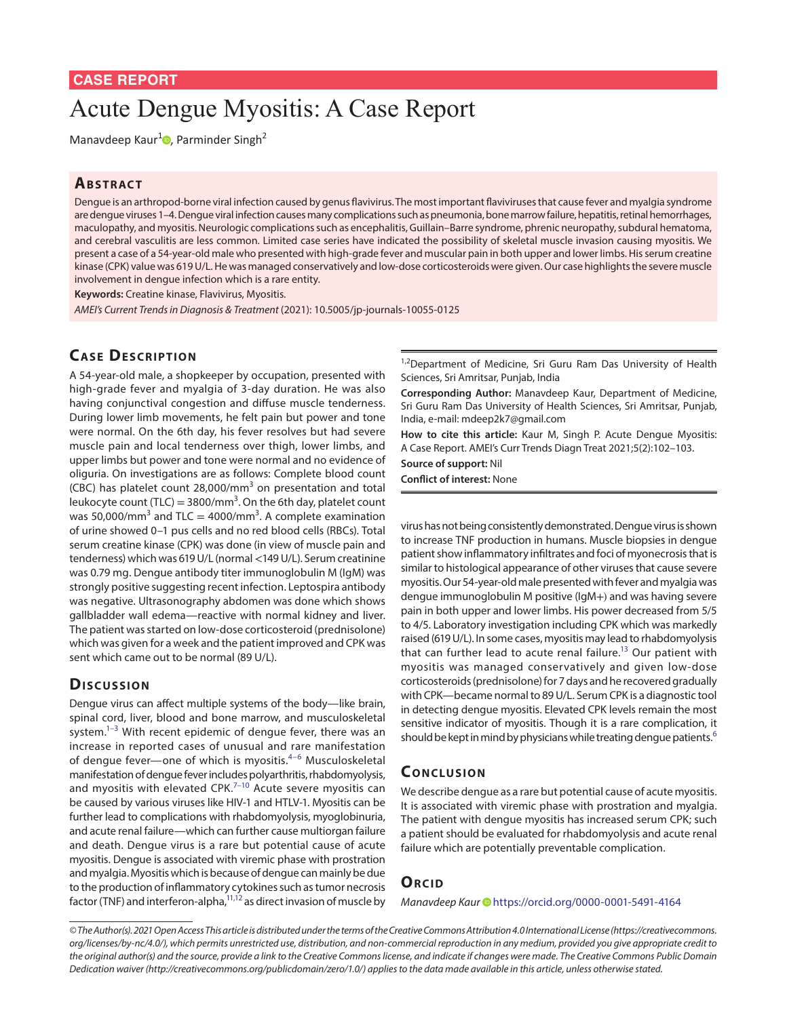# Acute Dengue Myositis: A Case Report

Manavdeep Kaur<sup>[1](https://orcid.org/0000-0001-5491-4164)</sup><sup>0</sup>, Parminder Singh<sup>2</sup>

#### **ABSTRACT**

Dengue is an arthropod-borne viral infection caused by genus flavivirus. The most important flaviviruses that cause fever and myalgia syndrome are dengue viruses 1–4. Dengue viral infection causes many complications such as pneumonia, bone marrow failure, hepatitis, retinal hemorrhages, maculopathy, and myositis. Neurologic complications such as encephalitis, Guillain–Barre syndrome, phrenic neuropathy, subdural hematoma, and cerebral vasculitis are less common. Limited case series have indicated the possibility of skeletal muscle invasion causing myositis. We present a case of a 54-year-old male who presented with high-grade fever and muscular pain in both upper and lower limbs. His serum creatine kinase (CPK) value was 619 U/L. He was managed conservatively and low-dose corticosteroids were given. Our case highlights the severe muscle involvement in dengue infection which is a rare entity.

**Keywords:** Creatine kinase, Flavivirus, Myositis.

*AMEI's Current Trends in Diagnosis & Treatment* (2021): 10.5005/jp-journals-10055-0125

## **CASE DESCRIPTION**

A 54-year-old male, a shopkeeper by occupation, presented with high-grade fever and myalgia of 3-day duration. He was also having conjunctival congestion and diffuse muscle tenderness. During lower limb movements, he felt pain but power and tone were normal. On the 6th day, his fever resolves but had severe muscle pain and local tenderness over thigh, lower limbs, and upper limbs but power and tone were normal and no evidence of oliguria. On investigations are as follows: Complete blood count (CBC) has platelet count 28,000/mm<sup>3</sup> on presentation and total leukocyte count (TLC) = 3800/mm<sup>3</sup>. On the 6th day, platelet count was 50,000/mm<sup>3</sup> and TLC = 4000/mm<sup>3</sup>. A complete examination of urine showed 0–1 pus cells and no red blood cells (RBCs). Total serum creatine kinase (CPK) was done (in view of muscle pain and tenderness) which was 619 U/L (normal <149 U/L). Serum creatinine was 0.79 mg. Dengue antibody titer immunoglobulin M (IgM) was strongly positive suggesting recent infection. Leptospira antibody was negative. Ultrasonography abdomen was done which shows gallbladder wall edema—reactive with normal kidney and liver. The patient was started on low-dose corticosteroid (prednisolone) which was given for a week and the patient improved and CPK was sent which came out to be normal (89 U/L).

### Discussion

Dengue virus can affect multiple systems of the body—like brain, spinal cord, liver, blood and bone marrow, and musculoskeletal system.<sup>1–[3](#page-1-1)</sup> With recent epidemic of dengue fever, there was an increase in reported cases of unusual and rare manifestation of dengue fever—one of which is myositis.<sup>4-[6](#page-1-3)</sup> Musculoskeletal manifestation of dengue fever includes polyarthritis, rhabdomyolysis, and myositis with elevated CPK. $7-10$  $7-10$  Acute severe myositis can be caused by various viruses like HIV-1 and HTLV-1. Myositis can be further lead to complications with rhabdomyolysis, myoglobinuria, and acute renal failure—which can further cause multiorgan failure and death. Dengue virus is a rare but potential cause of acute myositis. Dengue is associated with viremic phase with prostration and myalgia. Myositis which is because of dengue can mainly be due to the production of inflammatory cytokines such as tumor necrosis factor (TNF) and interferon-alpha, $^{11,12}$  as direct invasion of muscle by <sup>1,2</sup>Department of Medicine, Sri Guru Ram Das University of Health Sciences, Sri Amritsar, Punjab, India

**Corresponding Author:** Manavdeep Kaur, Department of Medicine, Sri Guru Ram Das University of Health Sciences, Sri Amritsar, Punjab, India, e-mail: mdeep2k7@gmail.com

**How to cite this article:** Kaur M, Singh P. Acute Dengue Myositis: A Case Report. AMEI's Curr Trends Diagn Treat 2021;5(2):102–103.

**Source of support:** Nil

**Conflict of interest:** None

virus has not being consistently demonstrated. Dengue virus is shown to increase TNF production in humans. Muscle biopsies in dengue patient show inflammatory infiltrates and foci of myonecrosis that is similar to histological appearance of other viruses that cause severe myositis. Our 54-year-old male presented with fever and myalgia was dengue immunoglobulin M positive (IgM+) and was having severe pain in both upper and lower limbs. His power decreased from 5/5 to 4/5. Laboratory investigation including CPK which was markedly raised (619 U/L). In some cases, myositis may lead to rhabdomyolysis that can further lead to acute renal failure.<sup>13</sup> Our patient with myositis was managed conservatively and given low-dose corticosteroids (prednisolone) for 7 days and he recovered gradually with CPK—became normal to 89 U/L. Serum CPK is a diagnostic tool in detecting dengue myositis. Elevated CPK levels remain the most sensitive indicator of myositis. Though it is a rare complication, it should be kept in mind by physicians while treating dengue patients.<sup>[6](#page-1-3)</sup>

### **CONCLUSION**

We describe dengue as a rare but potential cause of acute myositis. It is associated with viremic phase with prostration and myalgia. The patient with dengue myositis has increased serum CPK; such a patient should be evaluated for rhabdomyolysis and acute renal failure which are potentially preventable complication.

### **ORCID**

*Manavdeep Kaur* • [h](https://orcid.org/0000-0001-5491-4164)ttps://orcid.org/0000-0001-5491-4164

*<sup>©</sup> The Author(s). 2021 Open Access This article is distributed under the terms of the Creative Commons Attribution 4.0 International License ([https://creativecommons.](https://creativecommons. org/licenses/by-nc/4.0/) [org/licenses/by-nc/4.0/](https://creativecommons. org/licenses/by-nc/4.0/)), which permits unrestricted use, distribution, and non-commercial reproduction in any medium, provided you give appropriate credit to the original author(s) and the source, provide a link to the Creative Commons license, and indicate if changes were made. The Creative Commons Public Domain Dedication waiver ([http://creativecommons.org/publicdomain/zero/1.0/\)](http://creativecommons.org/publicdomain/zero/1.0/) applies to the data made available in this article, unless otherwise stated.*